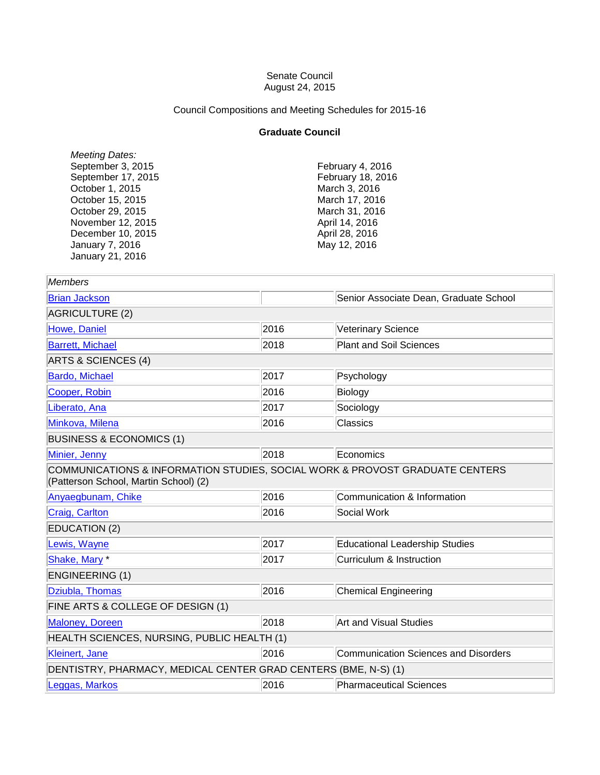## Senate Council August 24, 2015

Council Compositions and Meeting Schedules for 2015-16

## **Graduate Council**

*Meeting Dates:* September 3, 2015 September 17, 2015 October 1, 2015 October 15, 2015 October 29, 2015 November 12, 2015 December 10, 2015 January 7, 2016 January 21, 2016

February 4, 2016 February 18, 2016 March 3, 2016 March 17, 2016 March 31, 2016 April 14, 2016 April 28, 2016 May 12, 2016

| <b>Members</b>                                                                                                        |      |                                             |  |  |
|-----------------------------------------------------------------------------------------------------------------------|------|---------------------------------------------|--|--|
| <b>Brian Jackson</b>                                                                                                  |      | Senior Associate Dean, Graduate School      |  |  |
| AGRICULTURE (2)                                                                                                       |      |                                             |  |  |
| Howe, Daniel                                                                                                          | 2016 | <b>Veterinary Science</b>                   |  |  |
| <b>Barrett, Michael</b>                                                                                               | 2018 | <b>Plant and Soil Sciences</b>              |  |  |
| ARTS & SCIENCES (4)                                                                                                   |      |                                             |  |  |
| Bardo, Michael                                                                                                        | 2017 | Psychology                                  |  |  |
| Cooper, Robin                                                                                                         | 2016 | Biology                                     |  |  |
| Liberato, Ana                                                                                                         | 2017 | Sociology                                   |  |  |
| Minkova, Milena                                                                                                       | 2016 | <b>Classics</b>                             |  |  |
| <b>BUSINESS &amp; ECONOMICS (1)</b>                                                                                   |      |                                             |  |  |
| Minier, Jenny                                                                                                         | 2018 | Economics                                   |  |  |
| COMMUNICATIONS & INFORMATION STUDIES, SOCIAL WORK & PROVOST GRADUATE CENTERS<br>(Patterson School, Martin School) (2) |      |                                             |  |  |
| Anyaegbunam, Chike                                                                                                    | 2016 | Communication & Information                 |  |  |
| Craig, Carlton                                                                                                        | 2016 | Social Work                                 |  |  |
| <b>EDUCATION (2)</b>                                                                                                  |      |                                             |  |  |
| Lewis, Wayne                                                                                                          | 2017 | <b>Educational Leadership Studies</b>       |  |  |
| Shake, Mary*                                                                                                          | 2017 | Curriculum & Instruction                    |  |  |
| <b>ENGINEERING (1)</b>                                                                                                |      |                                             |  |  |
| Dziubla, Thomas                                                                                                       | 2016 | <b>Chemical Engineering</b>                 |  |  |
| FINE ARTS & COLLEGE OF DESIGN (1)                                                                                     |      |                                             |  |  |
| Maloney, Doreen                                                                                                       | 2018 | <b>Art and Visual Studies</b>               |  |  |
| HEALTH SCIENCES, NURSING, PUBLIC HEALTH (1)                                                                           |      |                                             |  |  |
| Kleinert, Jane                                                                                                        | 2016 | <b>Communication Sciences and Disorders</b> |  |  |
| DENTISTRY, PHARMACY, MEDICAL CENTER GRAD CENTERS (BME, N-S) (1)                                                       |      |                                             |  |  |
| eggas, Markos                                                                                                         | 2016 | <b>Pharmaceutical Sciences</b>              |  |  |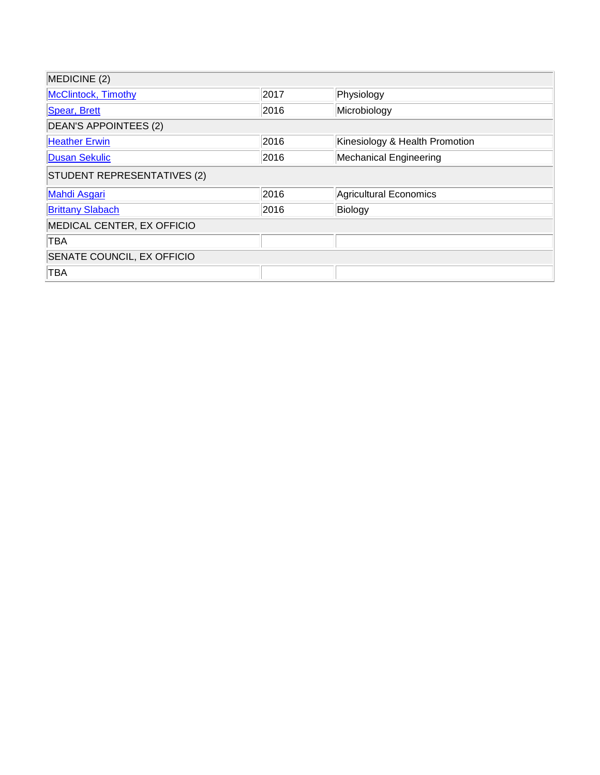| MEDICINE (2)                      |      |                                |  |
|-----------------------------------|------|--------------------------------|--|
| McClintock, Timothy               | 2017 | Physiology                     |  |
| Spear, Brett                      | 2016 | Microbiology                   |  |
| DEAN'S APPOINTEES (2)             |      |                                |  |
| <b>Heather Erwin</b>              | 2016 | Kinesiology & Health Promotion |  |
| <b>Dusan Sekulic</b>              | 2016 | Mechanical Engineering         |  |
| STUDENT REPRESENTATIVES (2)       |      |                                |  |
| <b>Mahdi Asgari</b>               | 2016 | Agricultural Economics         |  |
| <b>Brittany Slabach</b>           | 2016 | Biology                        |  |
| MEDICAL CENTER, EX OFFICIO        |      |                                |  |
| TBA                               |      |                                |  |
| <b>SENATE COUNCIL, EX OFFICIO</b> |      |                                |  |
| TBA                               |      |                                |  |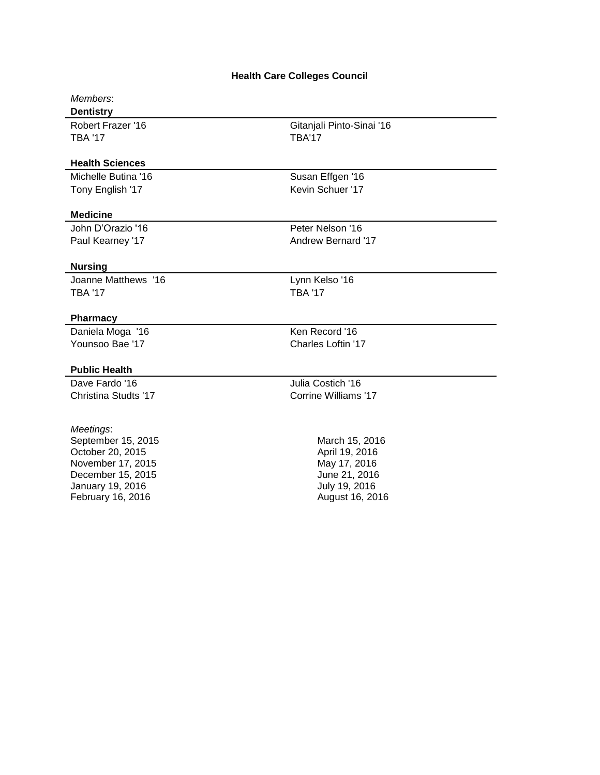# **Health Care Colleges Council**

# *Members*:

**Dentistry** TBA '17 TBA'17

## **Health Sciences**

Tony English '17 Kevin Schuer '17

Robert Frazer '16 Gitanjali Pinto-Sinai '16

Michelle Butina '16 Susan Effgen '16

### **Medicine**

John D'Orazio '16 **Peter Nelson** '16 Paul Kearney '17 Andrew Bernard '17

## **Nursing**

Joanne Matthews '16 **Lynn Kelso** '16 TBA '17 TBA '17

## **Pharmacy**

Younsoo Bae '17 Charles Loftin '17

#### **Public Health**

#### *Meetings*:

September 15, 2015 October 20, 2015 November 17, 2015 December 15, 2015 January 19, 2016 February 16, 2016

Daniela Moga '16 Ken Record '16

Dave Fardo '16 **Julia Costich '16** Julia Costich '16 Christina Studts '17 Corrine Williams '17

> March 15, 2016 April 19, 2016 May 17, 2016 June 21, 2016 July 19, 2016 August 16, 2016